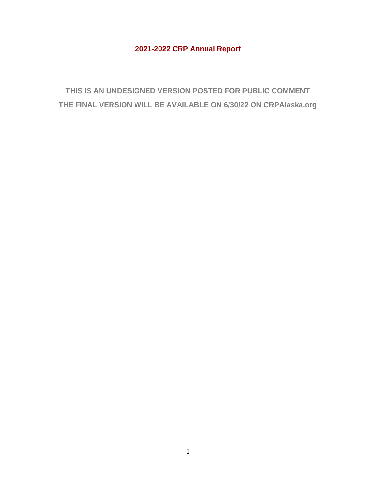# **2021-2022 CRP Annual Report**

**THIS IS AN UNDESIGNED VERSION POSTED FOR PUBLIC COMMENT THE FINAL VERSION WILL BE AVAILABLE ON 6/30/22 ON CRPAlaska.org**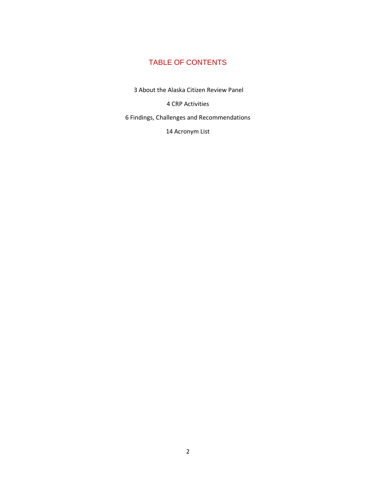# TABLE OF CONTENTS

3 About the Alaska Citizen Review Panel

4 CRP Activities

6 Findings, Challenges and Recommendations

14 Acronym List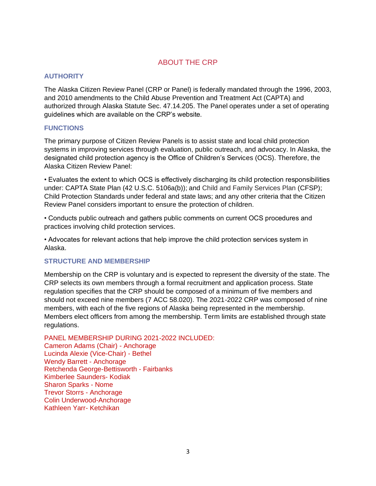## ABOUT THE CRP

### **AUTHORITY**

The Alaska Citizen Review Panel (CRP or Panel) is federally mandated through the 1996, 2003, and 2010 amendments to the Child Abuse Prevention and Treatment Act (CAPTA) and authorized through Alaska Statute Sec. 47.14.205. The Panel operates under a set of operating guidelines which are available on the CRP's website.

### **FUNCTIONS**

The primary purpose of Citizen Review Panels is to assist state and local child protection systems in improving services through evaluation, public outreach, and advocacy. In Alaska, the designated child protection agency is the Office of Children's Services (OCS). Therefore, the Alaska Citizen Review Panel:

• Evaluates the extent to which OCS is effectively discharging its child protection responsibilities under: CAPTA State Plan (42 U.S.C. 5106a(b)); and Child and Family Services Plan (CFSP); Child Protection Standards under federal and state laws; and any other criteria that the Citizen Review Panel considers important to ensure the protection of children.

• Conducts public outreach and gathers public comments on current OCS procedures and practices involving child protection services.

• Advocates for relevant actions that help improve the child protection services system in Alaska.

### **STRUCTURE AND MEMBERSHIP**

Membership on the CRP is voluntary and is expected to represent the diversity of the state. The CRP selects its own members through a formal recruitment and application process. State regulation specifies that the CRP should be composed of a minimum of five members and should not exceed nine members (7 ACC 58.020). The 2021-2022 CRP was composed of nine members, with each of the five regions of Alaska being represented in the membership. Members elect officers from among the membership. Term limits are established through state regulations.

PANEL MEMBERSHIP DURING 2021-2022 INCLUDED:

Cameron Adams (Chair) - Anchorage Lucinda Alexie (Vice-Chair) - Bethel Wendy Barrett - Anchorage Retchenda George-Bettisworth - Fairbanks Kimberlee Saunders- Kodiak Sharon Sparks - Nome Trevor Storrs - Anchorage Colin Underwood-Anchorage Kathleen Yarr- Ketchikan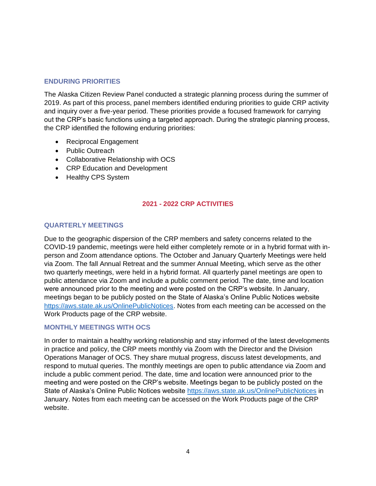#### **ENDURING PRIORITIES**

The Alaska Citizen Review Panel conducted a strategic planning process during the summer of 2019. As part of this process, panel members identified enduring priorities to guide CRP activity and inquiry over a five-year period. These priorities provide a focused framework for carrying out the CRP's basic functions using a targeted approach. During the strategic planning process, the CRP identified the following enduring priorities:

- Reciprocal Engagement
- Public Outreach
- Collaborative Relationship with OCS
- CRP Education and Development
- Healthy CPS System

### **2021 - 2022 CRP ACTIVITIES**

### **QUARTERLY MEETINGS**

Due to the geographic dispersion of the CRP members and safety concerns related to the COVID-19 pandemic, meetings were held either completely remote or in a hybrid format with inperson and Zoom attendance options. The October and January Quarterly Meetings were held via Zoom. The fall Annual Retreat and the summer Annual Meeting, which serve as the other two quarterly meetings, were held in a hybrid format. All quarterly panel meetings are open to public attendance via Zoom and include a public comment period. The date, time and location were announced prior to the meeting and were posted on the CRP's website. In January, meetings began to be publicly posted on the State of Alaska's Online Public Notices website [https://aws.state.ak.us/OnlinePublicNotices.](https://aws.state.ak.us/OnlinePublicNotices) Notes from each meeting can be accessed on the Work Products page of the CRP website.

#### **MONTHLY MEETINGS WITH OCS**

In order to maintain a healthy working relationship and stay informed of the latest developments in practice and policy, the CRP meets monthly via Zoom with the Director and the Division Operations Manager of OCS. They share mutual progress, discuss latest developments, and respond to mutual queries. The monthly meetings are open to public attendance via Zoom and include a public comment period. The date, time and location were announced prior to the meeting and were posted on the CRP's website. Meetings began to be publicly posted on the State of Alaska's Online Public Notices website<https://aws.state.ak.us/OnlinePublicNotices> in January. Notes from each meeting can be accessed on the Work Products page of the CRP website.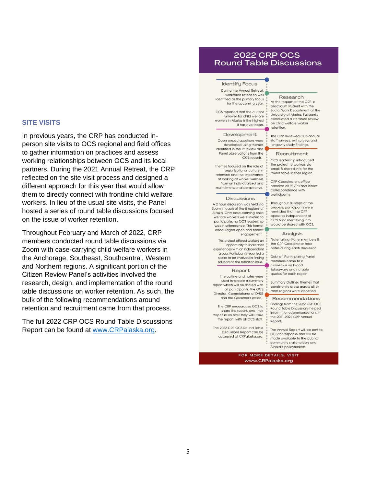#### **SITE VISITS**

In previous years, the CRP has conducted inperson site visits to OCS regional and field offices to gather information on practices and assess working relationships between OCS and its local partners. During the 2021 Annual Retreat, the CRP reflected on the site visit process and designed a different approach for this year that would allow them to directly connect with frontline child welfare workers. In lieu of the usual site visits, the Panel hosted a series of round table discussions focused on the issue of worker retention.

Throughout February and March of 2022, CRP members conducted round table discussions via Zoom with case-carrying child welfare workers in the Anchorage, Southeast, Southcentral, Western and Northern regions. A significant portion of the Citizen Review Panel's activities involved the research, design, and implementation of the round table discussions on worker retention. As such, the bulk of the following recommendations around retention and recruitment came from that process.

The full 2022 CRP OCS Round Table Discussions Report can be found at [www.CRPalaska.org.](http://www.crpalaska.org/)

### 2022 CRP OCS **Round Table Discussions**

#### **Identify Focus**

During the Annual Retreat, workforce retention was identified as the primary focus for the upcoming year.

OCS reported that the current turnover for child welfare workers in Alaska is the highest it has ever been

#### Development

Open-ended questions were developed using themes identified in the lit review and Panel observations from the OCS reports.

Themes focused on the role of organizational culture in retention and the importance of looking at worker wellness from an individualized and multidimensional perspective.

#### **Discussions**

A 2 hour discussion was held via Zoom in each of the 5 regions of Alaska. Only case-carrying child welfare workers were invited to participate, no OCS leadership was in attendance. This format encouraged open and honest engagement.

This project offered workers an opportunity to share their experiences with an independent aroup. Participants reported a desire to be involved in finding solutions to the retention issue

#### Report

The outline and notes were used to create a summary report which will be shared with all participants, the OCS Director, Commissioner of DHSS and the Governor's office.

The CRP encourages OCS to share the report, and their response on how they will utilize the report, with all OCS staff.

The 2022 CRP OCS Round Table Discussions Report can be accessed at CRPalaska.org.

Research At the request of the CRP, a practicum student with the Social Work Department at The University of Alaska, Fairbanks conducted a literature review on child welfare worker retention.

The CRP reviewed OCS annual staff surveys, exit surveys and longevity study findings.

#### Recruitment

OCS leadership introduced the project to workers via email & shared info for the round table in their region.

**CRP** Coordinator's office handled all RSVP's and direct correspondence with participants.

Throughout all steps of the process, participants were reminded that the CRP operates independent of OCS & no identifying info would be shared with OCS.

#### Analusis

Note taking: Panel members & the CRP Coordinator took notes during each discussion

Debrief: Participating Panel members came to a consensus on broad takeaways and notable quotes for each region

Summary Outline: Themes that consistently arose across all or most regions were identified

#### Recommendations

Findings from the 2022 CRP OCS **Round Table Discussions helped** inform the recommendations in the 2021-2022 CRP Annual Report.

The Annual Report will be sent to OCS for response and will be made available to the public, community stakeholders and Alaska's policymakers.

FOR MORE DETAILS, VISIT www.CRPalaska.org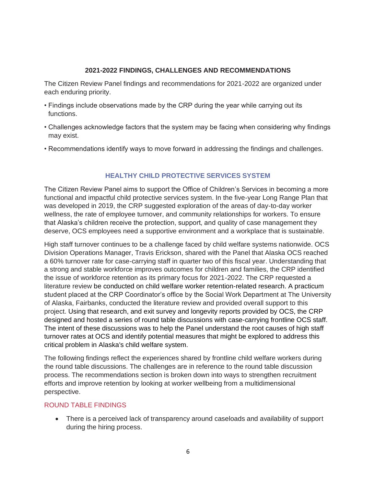## **2021-2022 FINDINGS, CHALLENGES AND RECOMMENDATIONS**

The Citizen Review Panel findings and recommendations for 2021-2022 are organized under each enduring priority.

- Findings include observations made by the CRP during the year while carrying out its functions.
- Challenges acknowledge factors that the system may be facing when considering why findings may exist.
- Recommendations identify ways to move forward in addressing the findings and challenges.

## **HEALTHY CHILD PROTECTIVE SERVICES SYSTEM**

The Citizen Review Panel aims to support the Office of Children's Services in becoming a more functional and impactful child protective services system. In the five-year Long Range Plan that was developed in 2019, the CRP suggested exploration of the areas of day-to-day worker wellness, the rate of employee turnover, and community relationships for workers. To ensure that Alaska's children receive the protection, support, and quality of case management they deserve, OCS employees need a supportive environment and a workplace that is sustainable.

High staff turnover continues to be a challenge faced by child welfare systems nationwide. OCS Division Operations Manager, Travis Erickson, shared with the Panel that Alaska OCS reached a 60% turnover rate for case-carrying staff in quarter two of this fiscal year. Understanding that a strong and stable workforce improves outcomes for children and families, the CRP identified the issue of workforce retention as its primary focus for 2021-2022. The CRP requested a literature review be conducted on child welfare worker retention-related research. A practicum student placed at the CRP Coordinator's office by the Social Work Department at The University of Alaska, Fairbanks, conducted the literature review and provided overall support to this project. Using that research, and exit survey and longevity reports provided by OCS, the CRP designed and hosted a series of round table discussions with case-carrying frontline OCS staff. The intent of these discussions was to help the Panel understand the root causes of high staff turnover rates at OCS and identify potential measures that might be explored to address this critical problem in Alaska's child welfare system.

The following findings reflect the experiences shared by frontline child welfare workers during the round table discussions. The challenges are in reference to the round table discussion process. The recommendations section is broken down into ways to strengthen recruitment efforts and improve retention by looking at worker wellbeing from a multidimensional perspective.

### ROUND TABLE FINDINGS

• There is a perceived lack of transparency around caseloads and availability of support during the hiring process.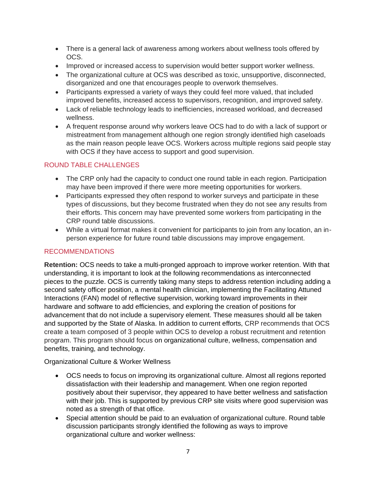- There is a general lack of awareness among workers about wellness tools offered by OCS.
- Improved or increased access to supervision would better support worker wellness.
- The organizational culture at OCS was described as toxic, unsupportive, disconnected, disorganized and one that encourages people to overwork themselves.
- Participants expressed a variety of ways they could feel more valued, that included improved benefits, increased access to supervisors, recognition, and improved safety.
- Lack of reliable technology leads to inefficiencies, increased workload, and decreased wellness.
- A frequent response around why workers leave OCS had to do with a lack of support or mistreatment from management although one region strongly identified high caseloads as the main reason people leave OCS. Workers across multiple regions said people stay with OCS if they have access to support and good supervision.

## ROUND TABLE CHALLENGES

- The CRP only had the capacity to conduct one round table in each region. Participation may have been improved if there were more meeting opportunities for workers.
- Participants expressed they often respond to worker surveys and participate in these types of discussions, but they become frustrated when they do not see any results from their efforts. This concern may have prevented some workers from participating in the CRP round table discussions.
- While a virtual format makes it convenient for participants to join from any location, an inperson experience for future round table discussions may improve engagement.

## RECOMMENDATIONS

**Retention:** OCS needs to take a multi-pronged approach to improve worker retention. With that understanding, it is important to look at the following recommendations as interconnected pieces to the puzzle. OCS is currently taking many steps to address retention including adding a second safety officer position, a mental health clinician, implementing the Facilitating Attuned Interactions (FAN) model of reflective supervision, working toward improvements in their hardware and software to add efficiencies, and exploring the creation of positions for advancement that do not include a supervisory element. These measures should all be taken and supported by the State of Alaska. In addition to current efforts, CRP recommends that OCS create a team composed of 3 people within OCS to develop a robust recruitment and retention program. This program should focus on organizational culture, wellness, compensation and benefits, training, and technology.

Organizational Culture & Worker Wellness

- OCS needs to focus on improving its organizational culture. Almost all regions reported dissatisfaction with their leadership and management. When one region reported positively about their supervisor, they appeared to have better wellness and satisfaction with their job. This is supported by previous CRP site visits where good supervision was noted as a strength of that office.
- Special attention should be paid to an evaluation of organizational culture. Round table discussion participants strongly identified the following as ways to improve organizational culture and worker wellness: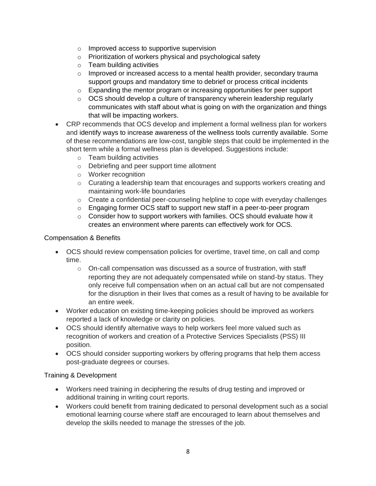- o Improved access to supportive supervision
- o Prioritization of workers physical and psychological safety
- o Team building activities
- $\circ$  Improved or increased access to a mental health provider, secondary trauma support groups and mandatory time to debrief or process critical incidents
- $\circ$  Expanding the mentor program or increasing opportunities for peer support
- $\circ$  OCS should develop a culture of transparency wherein leadership regularly communicates with staff about what is going on with the organization and things that will be impacting workers.
- CRP recommends that OCS develop and implement a formal wellness plan for workers and identify ways to increase awareness of the wellness tools currently available. Some of these recommendations are low-cost, tangible steps that could be implemented in the short term while a formal wellness plan is developed. Suggestions include:
	- o Team building activities
	- o Debriefing and peer support time allotment
	- o Worker recognition
	- $\circ$  Curating a leadership team that encourages and supports workers creating and maintaining work-life boundaries
	- $\circ$  Create a confidential peer-counseling helpline to cope with everyday challenges
	- $\circ$  Engaging former OCS staff to support new staff in a peer-to-peer program
	- o Consider how to support workers with families. OCS should evaluate how it creates an environment where parents can effectively work for OCS.

## Compensation & Benefits

- OCS should review compensation policies for overtime, travel time, on call and comp time.
	- $\circ$  On-call compensation was discussed as a source of frustration, with staff reporting they are not adequately compensated while on stand-by status. They only receive full compensation when on an actual call but are not compensated for the disruption in their lives that comes as a result of having to be available for an entire week.
- Worker education on existing time-keeping policies should be improved as workers reported a lack of knowledge or clarity on policies.
- OCS should identify alternative ways to help workers feel more valued such as recognition of workers and creation of a Protective Services Specialists (PSS) III position.
- OCS should consider supporting workers by offering programs that help them access post-graduate degrees or courses.

### Training & Development

- Workers need training in deciphering the results of drug testing and improved or additional training in writing court reports.
- Workers could benefit from training dedicated to personal development such as a social emotional learning course where staff are encouraged to learn about themselves and develop the skills needed to manage the stresses of the job.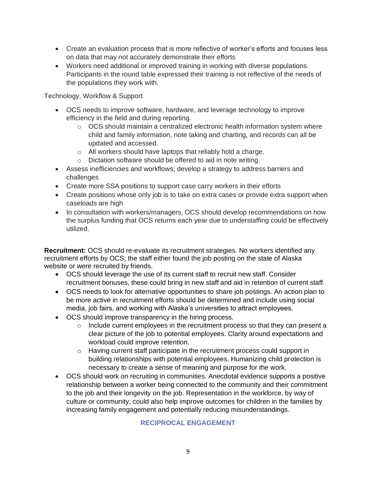- Create an evaluation process that is more reflective of worker's efforts and focuses less on data that may not accurately demonstrate their efforts
- Workers need additional or improved training in working with diverse populations. Participants in the round table expressed their training is not reflective of the needs of the populations they work with.

Technology, Workflow & Support

- OCS needs to improve software, hardware, and leverage technology to improve efficiency in the field and during reporting.
	- o OCS should maintain a centralized electronic health information system where child and family information, note taking and charting, and records can all be updated and accessed.
	- o All workers should have laptops that reliably hold a charge.
	- o Dictation software should be offered to aid in note writing.
- Assess inefficiencies and workflows; develop a strategy to address barriers and challenges
- Create more SSA positions to support case carry workers in their efforts
- Create positions whose only job is to take on extra cases or provide extra support when caseloads are high
- In consultation with workers/managers, OCS should develop recommendations on how the surplus funding that OCS returns each year due to understaffing could be effectively utilized.

**Recruitment:** OCS should re-evaluate its recruitment strategies. No workers identified any recruitment efforts by OCS; the staff either found the job posting on the state of Alaska website or were recruited by friends.

- OCS should leverage the use of its current staff to recruit new staff. Consider recruitment bonuses, these could bring in new staff and aid in retention of current staff.
- OCS needs to look for alternative opportunities to share job postings. An action plan to be more active in recruitment efforts should be determined and include using social media, job fairs, and working with Alaska's universities to attract employees.
- OCS should improve transparency in the hiring process.
	- $\circ$  Include current employees in the recruitment process so that they can present a clear picture of the job to potential employees. Clarity around expectations and workload could improve retention.
	- o Having current staff participate in the recruitment process could support in building relationships with potential employees. Humanizing child protection is necessary to create a sense of meaning and purpose for the work.
- OCS should work on recruiting in communities. Anecdotal evidence supports a positive relationship between a worker being connected to the community and their commitment to the job and their longevity on the job. Representation in the workforce, by way of culture or community, could also help improve outcomes for children in the families by increasing family engagement and potentially reducing misunderstandings.

## **RECIPROCAL ENGAGEMENT**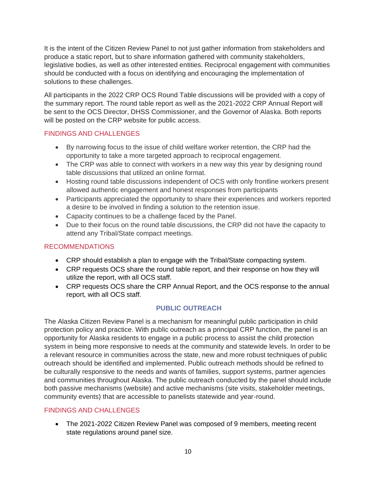It is the intent of the Citizen Review Panel to not just gather information from stakeholders and produce a static report, but to share information gathered with community stakeholders, legislative bodies, as well as other interested entities. Reciprocal engagement with communities should be conducted with a focus on identifying and encouraging the implementation of solutions to these challenges.

All participants in the 2022 CRP OCS Round Table discussions will be provided with a copy of the summary report. The round table report as well as the 2021-2022 CRP Annual Report will be sent to the OCS Director, DHSS Commissioner, and the Governor of Alaska. Both reports will be posted on the CRP website for public access.

## FINDINGS AND CHALLENGES

- By narrowing focus to the issue of child welfare worker retention, the CRP had the opportunity to take a more targeted approach to reciprocal engagement.
- The CRP was able to connect with workers in a new way this year by designing round table discussions that utilized an online format.
- Hosting round table discussions independent of OCS with only frontline workers present allowed authentic engagement and honest responses from participants
- Participants appreciated the opportunity to share their experiences and workers reported a desire to be involved in finding a solution to the retention issue.
- Capacity continues to be a challenge faced by the Panel.
- Due to their focus on the round table discussions, the CRP did not have the capacity to attend any Tribal/State compact meetings.

## RECOMMENDATIONS

- CRP should establish a plan to engage with the Tribal/State compacting system.
- CRP requests OCS share the round table report, and their response on how they will utilize the report, with all OCS staff.
- CRP requests OCS share the CRP Annual Report, and the OCS response to the annual report, with all OCS staff.

## **PUBLIC OUTREACH**

The Alaska Citizen Review Panel is a mechanism for meaningful public participation in child protection policy and practice. With public outreach as a principal CRP function, the panel is an opportunity for Alaska residents to engage in a public process to assist the child protection system in being more responsive to needs at the community and statewide levels. In order to be a relevant resource in communities across the state, new and more robust techniques of public outreach should be identified and implemented. Public outreach methods should be refined to be culturally responsive to the needs and wants of families, support systems, partner agencies and communities throughout Alaska. The public outreach conducted by the panel should include both passive mechanisms (website) and active mechanisms (site visits, stakeholder meetings, community events) that are accessible to panelists statewide and year-round.

## FINDINGS AND CHALLENGES

• The 2021-2022 Citizen Review Panel was composed of 9 members, meeting recent state regulations around panel size.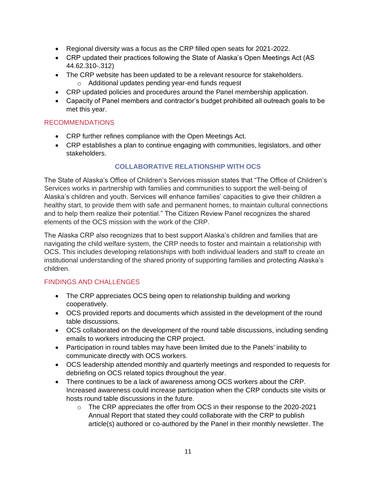- Regional diversity was a focus as the CRP filled open seats for 2021-2022.
- CRP updated their practices following the State of Alaska's Open Meetings Act (AS 44.62.310-.312)
- The CRP website has been updated to be a relevant resource for stakeholders.
	- o Additional updates pending year-end funds request
- CRP updated policies and procedures around the Panel membership application.
- Capacity of Panel members and contractor's budget prohibited all outreach goals to be met this year.

## RECOMMENDATIONS

- CRP further refines compliance with the Open Meetings Act.
- CRP establishes a plan to continue engaging with communities, legislators, and other stakeholders.

## **COLLABORATIVE RELATIONSHIP WITH OCS**

The State of Alaska's Office of Children's Services mission states that "The Office of Children's Services works in partnership with families and communities to support the well-being of Alaska's children and youth. Services will enhance families' capacities to give their children a healthy start, to provide them with safe and permanent homes, to maintain cultural connections and to help them realize their potential." The Citizen Review Panel recognizes the shared elements of the OCS mission with the work of the CRP.

The Alaska CRP also recognizes that to best support Alaska's children and families that are navigating the child welfare system, the CRP needs to foster and maintain a relationship with OCS. This includes developing relationships with both individual leaders and staff to create an institutional understanding of the shared priority of supporting families and protecting Alaska's children.

## FINDINGS AND CHALLENGES

- The CRP appreciates OCS being open to relationship building and working cooperatively.
- OCS provided reports and documents which assisted in the development of the round table discussions.
- OCS collaborated on the development of the round table discussions, including sending emails to workers introducing the CRP project.
- Participation in round tables may have been limited due to the Panels' inability to communicate directly with OCS workers.
- OCS leadership attended monthly and quarterly meetings and responded to requests for debriefing on OCS related topics throughout the year.
- There continues to be a lack of awareness among OCS workers about the CRP. Increased awareness could increase participation when the CRP conducts site visits or hosts round table discussions in the future.
	- $\circ$  The CRP appreciates the offer from OCS in their response to the 2020-2021 Annual Report that stated they could collaborate with the CRP to publish article(s) authored or co-authored by the Panel in their monthly newsletter. The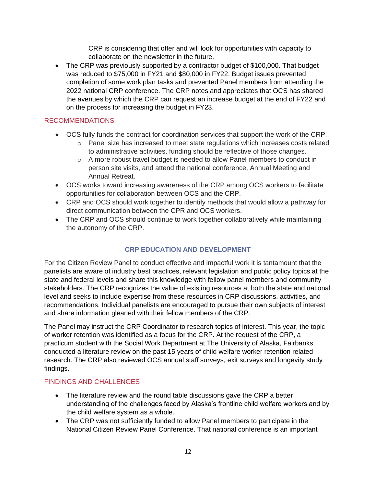CRP is considering that offer and will look for opportunities with capacity to collaborate on the newsletter in the future.

• The CRP was previously supported by a contractor budget of \$100,000. That budget was reduced to \$75,000 in FY21 and \$80,000 in FY22. Budget issues prevented completion of some work plan tasks and prevented Panel members from attending the 2022 national CRP conference. The CRP notes and appreciates that OCS has shared the avenues by which the CRP can request an increase budget at the end of FY22 and on the process for increasing the budget in FY23.

## RECOMMENDATIONS

- OCS fully funds the contract for coordination services that support the work of the CRP.
	- $\circ$  Panel size has increased to meet state regulations which increases costs related to administrative activities, funding should be reflective of those changes.
	- o A more robust travel budget is needed to allow Panel members to conduct in person site visits, and attend the national conference, Annual Meeting and Annual Retreat.
- OCS works toward increasing awareness of the CRP among OCS workers to facilitate opportunities for collaboration between OCS and the CRP.
- CRP and OCS should work together to identify methods that would allow a pathway for direct communication between the CPR and OCS workers.
- The CRP and OCS should continue to work together collaboratively while maintaining the autonomy of the CRP.

## **CRP EDUCATION AND DEVELOPMENT**

For the Citizen Review Panel to conduct effective and impactful work it is tantamount that the panelists are aware of industry best practices, relevant legislation and public policy topics at the state and federal levels and share this knowledge with fellow panel members and community stakeholders. The CRP recognizes the value of existing resources at both the state and national level and seeks to include expertise from these resources in CRP discussions, activities, and recommendations. Individual panelists are encouraged to pursue their own subjects of interest and share information gleaned with their fellow members of the CRP.

The Panel may instruct the CRP Coordinator to research topics of interest. This year, the topic of worker retention was identified as a focus for the CRP. At the request of the CRP, a practicum student with the Social Work Department at The University of Alaska, Fairbanks conducted a literature review on the past 15 years of child welfare worker retention related research. The CRP also reviewed OCS annual staff surveys, exit surveys and longevity study findings.

### FINDINGS AND CHALLENGES

- The literature review and the round table discussions gave the CRP a better understanding of the challenges faced by Alaska's frontline child welfare workers and by the child welfare system as a whole.
- The CRP was not sufficiently funded to allow Panel members to participate in the National Citizen Review Panel Conference. That national conference is an important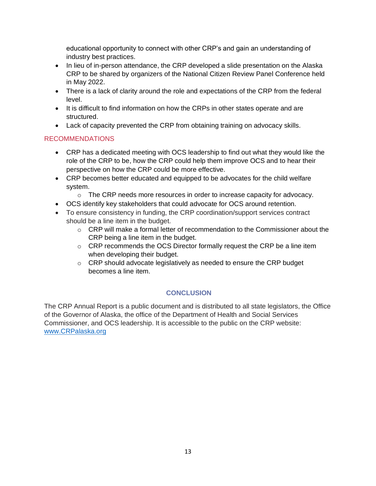educational opportunity to connect with other CRP's and gain an understanding of industry best practices.

- In lieu of in-person attendance, the CRP developed a slide presentation on the Alaska CRP to be shared by organizers of the National Citizen Review Panel Conference held in May 2022.
- There is a lack of clarity around the role and expectations of the CRP from the federal level.
- It is difficult to find information on how the CRPs in other states operate and are structured.
- Lack of capacity prevented the CRP from obtaining training on advocacy skills.

## RECOMMENDATIONS

- CRP has a dedicated meeting with OCS leadership to find out what they would like the role of the CRP to be, how the CRP could help them improve OCS and to hear their perspective on how the CRP could be more effective.
- CRP becomes better educated and equipped to be advocates for the child welfare system.
	- $\circ$  The CRP needs more resources in order to increase capacity for advocacy.
- OCS identify key stakeholders that could advocate for OCS around retention.
- To ensure consistency in funding, the CRP coordination/support services contract should be a line item in the budget.
	- $\circ$  CRP will make a formal letter of recommendation to the Commissioner about the CRP being a line item in the budget.
	- o CRP recommends the OCS Director formally request the CRP be a line item when developing their budget.
	- o CRP should advocate legislatively as needed to ensure the CRP budget becomes a line item.

## **CONCLUSION**

The CRP Annual Report is a public document and is distributed to all state legislators, the Office of the Governor of Alaska, the office of the Department of Health and Social Services Commissioner, and OCS leadership. It is accessible to the public on the CRP website: [www.CRPalaska.org](http://www.crpalaska.org/)